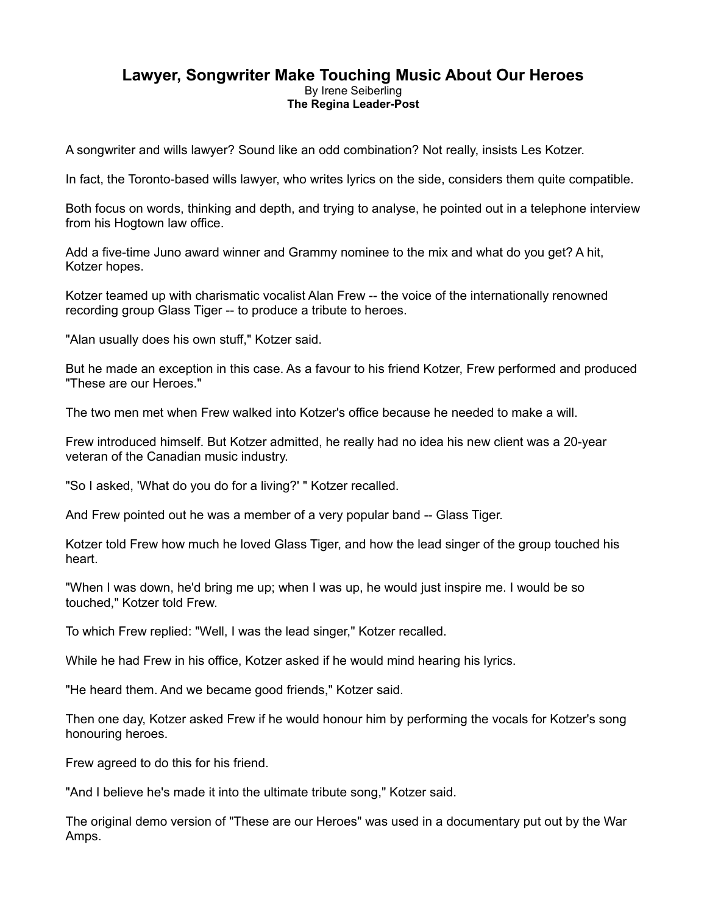## **Lawyer, Songwriter Make Touching Music About Our Heroes** By Irene Seiberling **The Regina Leader-Post**

A songwriter and wills lawyer? Sound like an odd combination? Not really, insists Les Kotzer. 

In fact, the Toronto-based wills lawyer, who writes lyrics on the side, considers them quite compatible.

 Both focus on words, thinking and depth, and trying to analyse, he pointed out in a telephone interview from his Hogtown law office.

 Add a five-time Juno award winner and Grammy nominee to the mix and what do you get? A hit, Kotzer hopes.

 Kotzer teamed up with charismatic vocalist Alan Frew -- the voice of the internationally renowned recording group Glass Tiger -- to produce a tribute to heroes.

"Alan usually does his own stuff," Kotzer said.

 But he made an exception in this case. As a favour to his friend Kotzer, Frew performed and produced "These are our Heroes."

The two men met when Frew walked into Kotzer's office because he needed to make a will.

 Frew introduced himself. But Kotzer admitted, he really had no idea his new client was a 20-year veteran of the Canadian music industry.

"So I asked, 'What do you do for a living?' " Kotzer recalled.

And Frew pointed out he was a member of a very popular band -- Glass Tiger.

 Kotzer told Frew how much he loved Glass Tiger, and how the lead singer of the group touched his heart.

 "When I was down, he'd bring me up; when I was up, he would just inspire me. I would be so touched," Kotzer told Frew.

To which Frew replied: "Well, I was the lead singer," Kotzer recalled.

While he had Frew in his office, Kotzer asked if he would mind hearing his lyrics.

"He heard them. And we became good friends," Kotzer said.

 Then one day, Kotzer asked Frew if he would honour him by performing the vocals for Kotzer's song honouring heroes.

Frew agreed to do this for his friend.

"And I believe he's made it into the ultimate tribute song," Kotzer said.

 The original demo version of "These are our Heroes" was used in a documentary put out by the War Amps.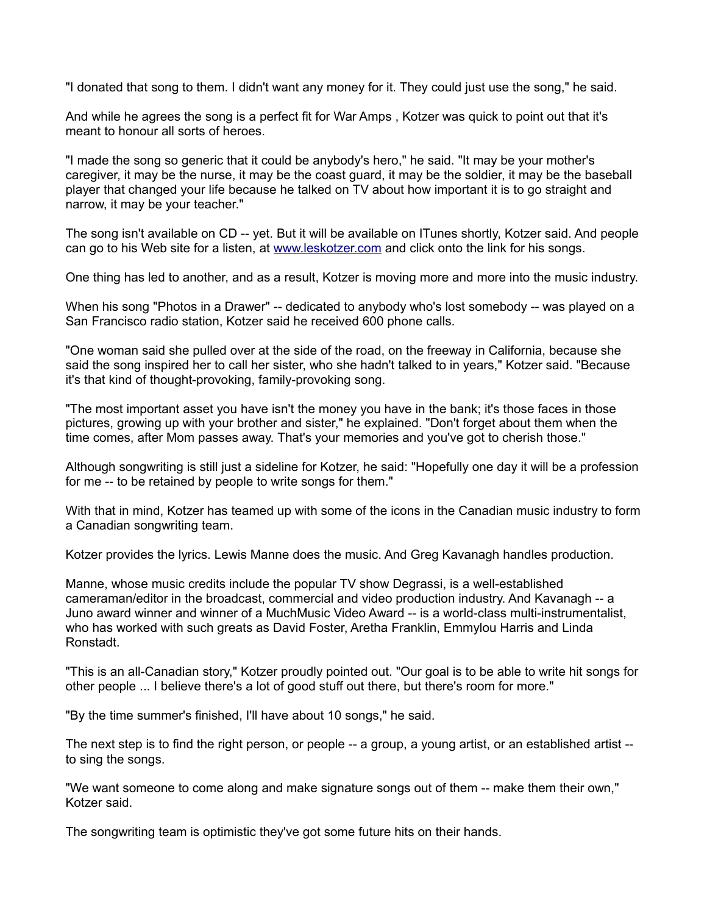"I donated that song to them. I didn't want any money for it. They could just use the song," he said.

 And while he agrees the song is a perfect fit for War Amps , Kotzer was quick to point out that it's meant to honour all sorts of heroes.

 "I made the song so generic that it could be anybody's hero," he said. "It may be your mother's caregiver, it may be the nurse, it may be the coast guard, it may be the soldier, it may be the baseball player that changed your life because he talked on TV about how important it is to go straight and narrow, it may be your teacher."

 The song isn't available on CD -- yet. But it will be available on ITunes shortly, Kotzer said. And people can go to his Web site for a listen, at [www.leskotzer.com](http://www.leskotzer.com/) and click onto the link for his songs.

One thing has led to another, and as a result, Kotzer is moving more and more into the music industry.

 When his song "Photos in a Drawer" -- dedicated to anybody who's lost somebody -- was played on a San Francisco radio station, Kotzer said he received 600 phone calls.

 "One woman said she pulled over at the side of the road, on the freeway in California, because she said the song inspired her to call her sister, who she hadn't talked to in years," Kotzer said. "Because it's that kind of thought-provoking, family-provoking song.

 "The most important asset you have isn't the money you have in the bank; it's those faces in those pictures, growing up with your brother and sister," he explained. "Don't forget about them when the time comes, after Mom passes away. That's your memories and you've got to cherish those."

 Although songwriting is still just a sideline for Kotzer, he said: "Hopefully one day it will be a profession for me -- to be retained by people to write songs for them."

 With that in mind, Kotzer has teamed up with some of the icons in the Canadian music industry to form a Canadian songwriting team.

Kotzer provides the lyrics. Lewis Manne does the music. And Greg Kavanagh handles production.

 Manne, whose music credits include the popular TV show Degrassi, is a well-established cameraman/editor in the broadcast, commercial and video production industry. And Kavanagh -- a Juno award winner and winner of a MuchMusic Video Award -- is a world-class multi-instrumentalist, who has worked with such greats as David Foster, Aretha Franklin, Emmylou Harris and Linda Ronstadt.

 "This is an all-Canadian story," Kotzer proudly pointed out. "Our goal is to be able to write hit songs for other people ... I believe there's a lot of good stuff out there, but there's room for more."

"By the time summer's finished, I'll have about 10 songs," he said.

 The next step is to find the right person, or people -- a group, a young artist, or an established artist -- to sing the songs.

 "We want someone to come along and make signature songs out of them -- make them their own," Kotzer said.

The songwriting team is optimistic they've got some future hits on their hands.